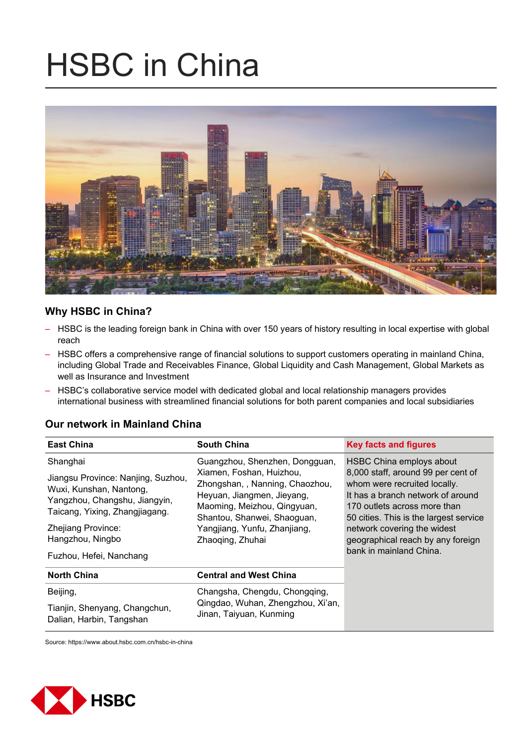# HSBC in China



# **Why HSBC in China?**

- HSBC is the leading foreign bank in China with over 150 years of history resulting in local expertise with global reach
- HSBC offers a comprehensive range of financial solutions to support customers operating in mainland China, including Global Trade and Receivables Finance, Global Liquidity and Cash Management, Global Markets as well as Insurance and Investment
- HSBC's collaborative service model with dedicated global and local relationship managers provides international business with streamlined financial solutions for both parent companies and local subsidiaries

## **Our network in Mainland China**

| <b>East China</b>                                                                                                                | <b>South China</b>                                                                                                       | <b>Key facts and figures</b>                                                                                                            |
|----------------------------------------------------------------------------------------------------------------------------------|--------------------------------------------------------------------------------------------------------------------------|-----------------------------------------------------------------------------------------------------------------------------------------|
| Shanghai                                                                                                                         | Guangzhou, Shenzhen, Dongguan,                                                                                           | HSBC China employs about                                                                                                                |
| Jiangsu Province: Nanjing, Suzhou,<br>Wuxi, Kunshan, Nantong,<br>Yangzhou, Changshu, Jiangyin,<br>Taicang, Yixing, Zhangjiagang. | Xiamen, Foshan, Huizhou,<br>Zhongshan, , Nanning, Chaozhou,<br>Heyuan, Jiangmen, Jieyang,<br>Maoming, Meizhou, Qingyuan, | 8,000 staff, around 99 per cent of<br>whom were recruited locally.<br>It has a branch network of around<br>170 outlets across more than |
| Zhejiang Province:<br>Hangzhou, Ningbo<br>Fuzhou, Hefei, Nanchang                                                                | Shantou, Shanwei, Shaoguan,<br>Yangjiang, Yunfu, Zhanjiang,<br>Zhaoqing, Zhuhai                                          | 50 cities. This is the largest service<br>network covering the widest<br>geographical reach by any foreign<br>bank in mainland China.   |
| <b>North China</b>                                                                                                               | <b>Central and West China</b>                                                                                            |                                                                                                                                         |
| Beijing,                                                                                                                         | Changsha, Chengdu, Chongqing,                                                                                            |                                                                                                                                         |
| Tianjin, Shenyang, Changchun,<br>Dalian, Harbin, Tangshan                                                                        | Qingdao, Wuhan, Zhengzhou, Xi'an,<br>Jinan, Taiyuan, Kunming                                                             |                                                                                                                                         |

Source: https://www.about.hsbc.com.cn/hsbc-in-china